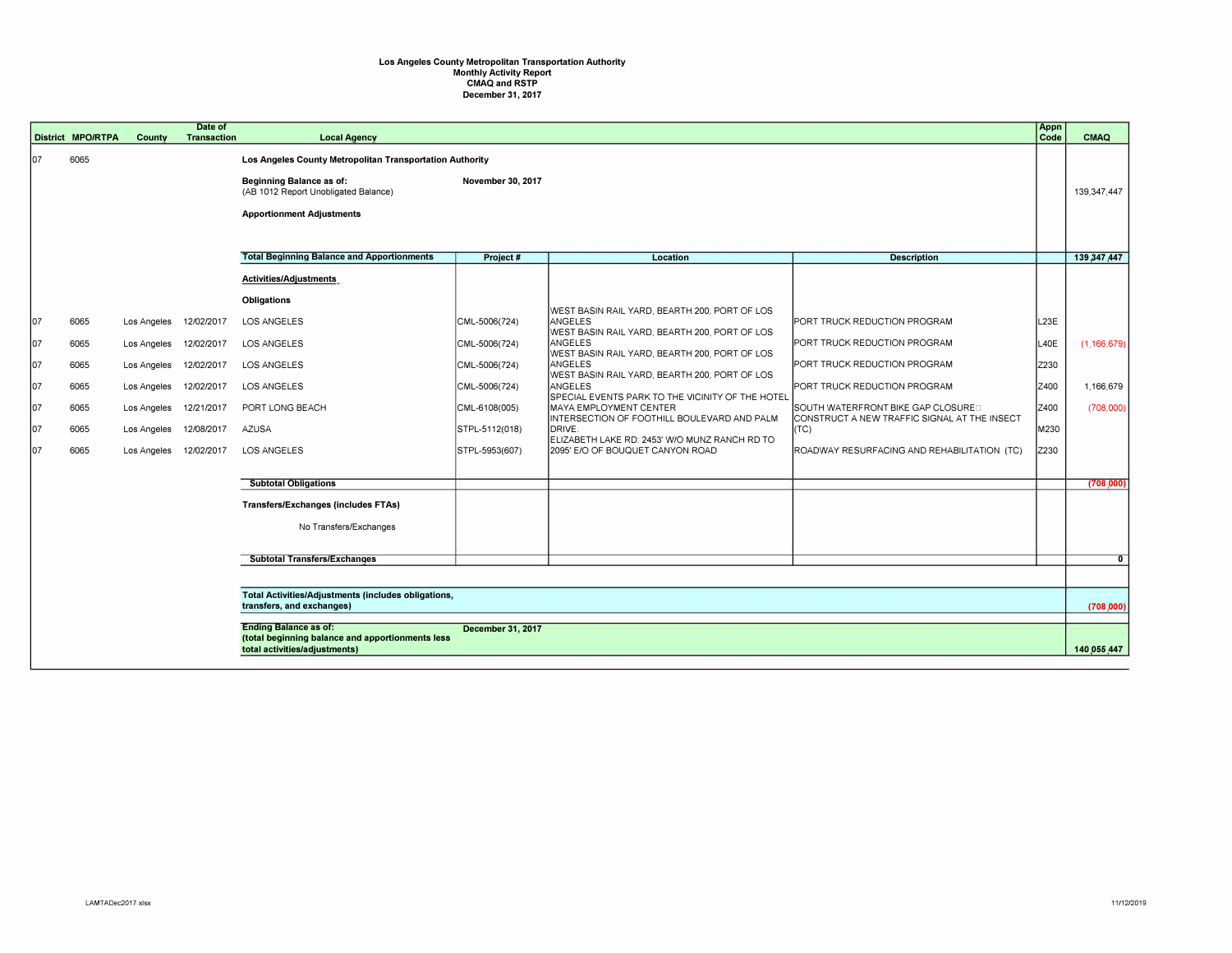## **Los Angeles County Metropolitan Transportation Authority Monthly Activity Report CMAQ and RSTP December 31, 2017**

|     | <b>District MPO/RTPA</b>                                                                                     | County      | Date of<br><b>Transaction</b> | <b>Local Agency</b>                                                     |                   |                                                                                                           |                                                                                    | Appn<br>Code | CMAQ           |
|-----|--------------------------------------------------------------------------------------------------------------|-------------|-------------------------------|-------------------------------------------------------------------------|-------------------|-----------------------------------------------------------------------------------------------------------|------------------------------------------------------------------------------------|--------------|----------------|
| 107 | 6065                                                                                                         |             |                               | Los Angeles County Metropolitan Transportation Authority                |                   |                                                                                                           |                                                                                    |              |                |
|     |                                                                                                              |             |                               | <b>Beginning Balance as of:</b><br>(AB 1012 Report Unobligated Balance) | November 30, 2017 |                                                                                                           |                                                                                    |              | 139,347,447    |
|     |                                                                                                              |             |                               | <b>Apportionment Adjustments</b>                                        |                   |                                                                                                           |                                                                                    |              |                |
|     |                                                                                                              |             |                               |                                                                         |                   |                                                                                                           |                                                                                    |              |                |
|     |                                                                                                              |             |                               | <b>Total Beginning Balance and Apportionments</b>                       | Project #         | Location                                                                                                  | <b>Description</b>                                                                 |              | 139,347,447    |
|     |                                                                                                              |             |                               | <b>Activities/Adjustments</b>                                           |                   |                                                                                                           |                                                                                    |              |                |
|     |                                                                                                              |             |                               | <b>Obligations</b>                                                      |                   |                                                                                                           |                                                                                    |              |                |
| 107 | 6065                                                                                                         | Los Angeles | 12/02/2017                    | LOS ANGELES                                                             | CML-5006(724)     | WEST BASIN RAIL YARD, BEARTH 200, PORT OF LOS<br>ANGELES<br>WEST BASIN RAIL YARD, BEARTH 200, PORT OF LOS | <b>PORT TRUCK REDUCTION PROGRAM</b>                                                | L23E         |                |
| 107 | 6065                                                                                                         | Los Angeles | 12/02/2017                    | <b>LOS ANGELES</b>                                                      | CML-5006(724)     | ANGELES<br>WEST BASIN RAIL YARD, BEARTH 200, PORT OF LOS                                                  | PORT TRUCK REDUCTION PROGRAM                                                       | L40E         | (1, 166, 679)  |
| 107 | 6065                                                                                                         | Los Angeles | 12/02/2017                    | <b>LOS ANGELES</b>                                                      | CML-5006(724)     | ANGELES<br>WEST BASIN RAIL YARD, BEARTH 200, PORT OF LOS                                                  | PORT TRUCK REDUCTION PROGRAM                                                       | Z230         |                |
| 107 | 6065                                                                                                         | Los Angeles | 12/02/2017                    | LOS ANGELES                                                             | CML-5006(724)     | ANGELES<br>SPECIAL EVENTS PARK TO THE VICINITY OF THE HOTEL                                               | PORT TRUCK REDUCTION PROGRAM                                                       | Z400         | 1,166,679      |
| 107 | 6065                                                                                                         | Los Angeles | 12/21/2017                    | PORT LONG BEACH                                                         | CML-6108(005)     | MAYA EMPLOYMENT CENTER<br>INTERSECTION OF FOOTHILL BOULEVARD AND PALM                                     | SOUTH WATERFRONT BIKE GAP CLOSURED<br>CONSTRUCT A NEW TRAFFIC SIGNAL AT THE INSECT | Z400         | (708,000)      |
| 107 | 6065                                                                                                         | Los Angeles | 12/08/2017                    | <b>AZUSA</b>                                                            | STPL-5112(018)    | DRIVE.<br>ELIZABETH LAKE RD: 2453' W/O MUNZ RANCH RD TO                                                   | $\vert$ (TC)                                                                       | M230         |                |
| 107 | 6065                                                                                                         | Los Angeles | 12/02/2017                    | LOS ANGELES                                                             | STPL-5953(607)    | 2095' E/O OF BOUQUET CANYON ROAD                                                                          | ROADWAY RESURFACING AND REHABILITATION (TC)                                        | Z230         |                |
|     |                                                                                                              |             |                               | <b>Subtotal Obligations</b>                                             |                   |                                                                                                           |                                                                                    |              | (708,000)      |
|     |                                                                                                              |             |                               | <b>Transfers/Exchanges (includes FTAs)</b>                              |                   |                                                                                                           |                                                                                    |              |                |
|     |                                                                                                              |             |                               | No Transfers/Exchanges                                                  |                   |                                                                                                           |                                                                                    |              |                |
|     |                                                                                                              |             |                               | <b>Subtotal Transfers/Exchanges</b>                                     |                   |                                                                                                           |                                                                                    |              | $\overline{0}$ |
|     |                                                                                                              |             |                               |                                                                         |                   |                                                                                                           |                                                                                    |              |                |
|     | Total Activities/Adjustments (includes obligations,                                                          |             |                               |                                                                         |                   |                                                                                                           |                                                                                    |              |                |
|     |                                                                                                              |             | transfers, and exchanges)     |                                                                         |                   |                                                                                                           |                                                                                    |              | (708,000)      |
|     | <b>Ending Balance as of:</b><br><b>December 31, 2017</b><br>(total beginning balance and apportionments less |             |                               |                                                                         |                   |                                                                                                           |                                                                                    |              |                |
|     | total activities/adjustments)                                                                                |             |                               |                                                                         |                   |                                                                                                           |                                                                                    |              | 140,055,447    |